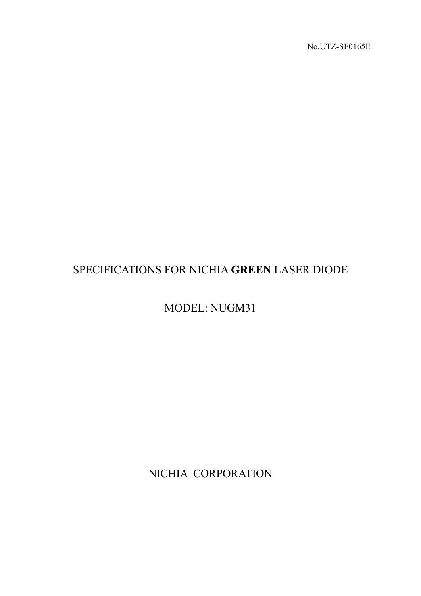No.UTZ-SF0165E

# SPECIFICATIONS FOR NICHIA **GREEN** LASER DIODE

MODEL: NUGM31

NICHIA CORPORATION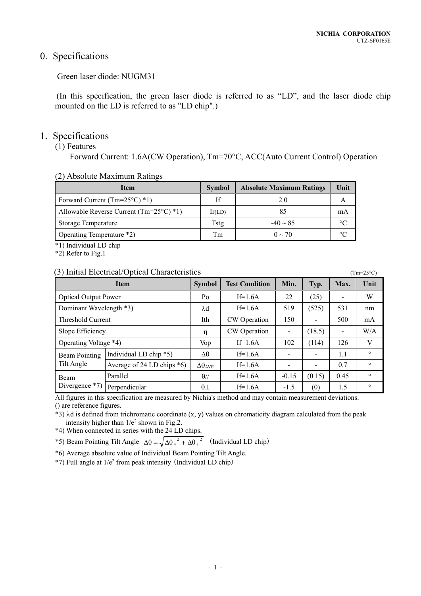# 0. Specifications

Green laser diode: NUGM31

(In this specification, the green laser diode is referred to as "LD", and the laser diode chip mounted on the LD is referred to as "LD chip".)

### 1. Specifications

### (1) Features

Forward Current: 1.6A(CW Operation), Tm=70°C, ACC(Auto Current Control) Operation

#### (2) Absolute Maximum Ratings

| <b>Item</b>                                     | Symbol | <b>Absolute Maximum Ratings</b> | Unit |
|-------------------------------------------------|--------|---------------------------------|------|
| Forward Current (Tm= $25^{\circ}$ C) *1)        | If     | 2.0                             |      |
| Allowable Reverse Current $(Tm=25^{\circ}C)*1)$ | lr(LD) | 85                              | mА   |
| Storage Temperature                             | Tstg   | $-40 \sim 85$                   |      |
| Operating Temperature *2)                       | Tm     | $0 \sim 70$                     |      |

\*1) Individual LD chip

\*2) Refer to Fig.1

#### (3) Initial Electrical/Optical Characteristics (Tm=25<sup>o</sup>C)

| <b>Item</b>                        |                               | <b>Symbol</b>      | <b>Test Condition</b> | Min.                     | Typ.                     | Max.                     | Unit    |
|------------------------------------|-------------------------------|--------------------|-----------------------|--------------------------|--------------------------|--------------------------|---------|
| <b>Optical Output Power</b>        |                               | Po                 | $If=1.6A$             | 22                       | (25)                     |                          | W       |
| Dominant Wavelength *3)            |                               | λd                 | $If=1.6A$             | 519                      | (525)                    | 531                      | nm      |
| Threshold Current                  |                               | Ith                | CW Operation          | 150                      | $\overline{\phantom{a}}$ | 500                      | mA      |
| Slope Efficiency                   |                               | η                  | CW Operation          | -                        | (18.5)                   | $\overline{\phantom{0}}$ | W/A     |
| Operating Voltage *4)              |                               | Vop                | $If=1.6A$             | 102                      | (114)                    | 126                      | V       |
| <b>Beam Pointing</b><br>Tilt Angle | Individual LD chip *5)        | $\Delta\theta$     | $If=1.6A$             | $\overline{\phantom{0}}$ | -                        | 1.1                      | $\circ$ |
|                                    | Average of 24 LD chips $*6$ ) | $\Delta\theta$ ave | If= $1.6A$            | $\overline{\phantom{0}}$ | -                        | 0.7                      | $\circ$ |
| Beam                               | Parallel                      | $\theta$ //        | If= $1.6A$            | $-0.15$                  | (0.15)                   | 0.45                     | $\circ$ |
| Divergence *7)                     | Perpendicular                 | $\theta\bot$       | $If=1.6A$             | $-1.5$                   | (0)                      | 1.5                      | $\circ$ |

All figures in this specification are measured by Nichia's method and may contain measurement deviations. () are reference figures.

 $*3$ )  $\lambda$ d is defined from trichromatic coordinate (x, y) values on chromaticity diagram calculated from the peak intensity higher than  $1/e^2$  shown in Fig.2.

\*4) When connected in series with the 24 LD chips.

\*5) Beam Pointing Tilt Angle  $\Delta\theta = \sqrt{\Delta\theta_{\mu}^2 + \Delta\theta_{\mu}^2}$  (Individual LD chip)

\*6) Average absolute value of Individual Beam Pointing Tilt Angle.

 $*7$ ) Full angle at  $1/e<sup>2</sup>$  from peak intensity (Individual LD chip)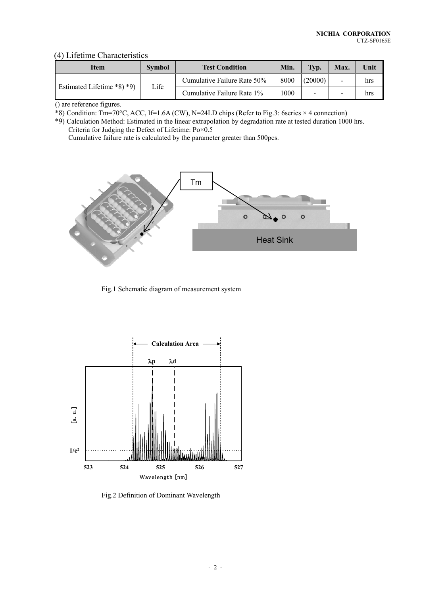#### (4) Lifetime Characteristics

| Item                             | <b>Symbol</b> | <b>Test Condition</b>       | Min. | Typ.                     | Max.                     | Unit |
|----------------------------------|---------------|-----------------------------|------|--------------------------|--------------------------|------|
| Estimated Lifetime $*8$ ) $*9$ ) | Life          | Cumulative Failure Rate 50% | 8000 | (20000)                  |                          | hrs  |
|                                  |               | Cumulative Failure Rate 1%  | 000  | $\overline{\phantom{a}}$ | $\overline{\phantom{a}}$ | hrs  |

() are reference figures.

\*8) Condition: Tm=70°C, ACC, If=1.6A (CW), N=24LD chips (Refer to Fig.3: 6series  $\times$  4 connection)

\*9) Calculation Method: Estimated in the linear extrapolation by degradation rate at tested duration 1000 hrs. Criteria for Judging the Defect of Lifetime: Po×0.5

Cumulative failure rate is calculated by the parameter greater than 500pcs.



Fig.1 Schematic diagram of measurement system



Fig.2 Definition of Dominant Wavelength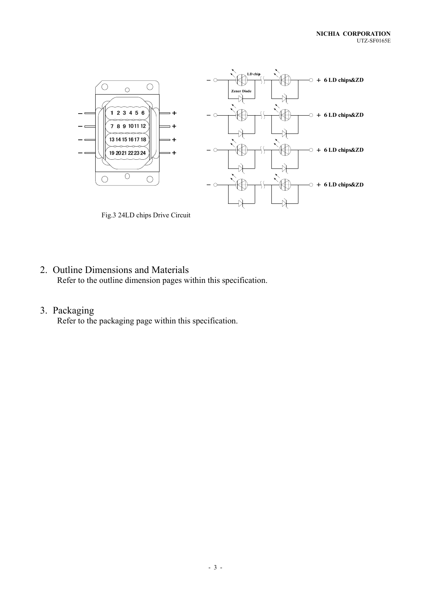

Fig.3 24LD chips Drive Circuit

# 2. Outline Dimensions and Materials Refer to the outline dimension pages within this specification.

# 3. Packaging

Refer to the packaging page within this specification.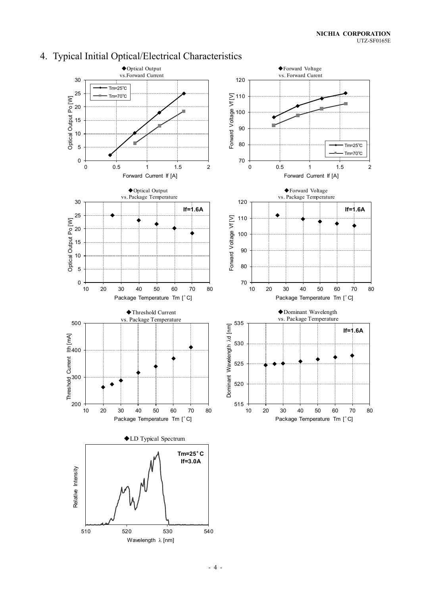

# 4. Typical Initial Optical/Electrical Characteristics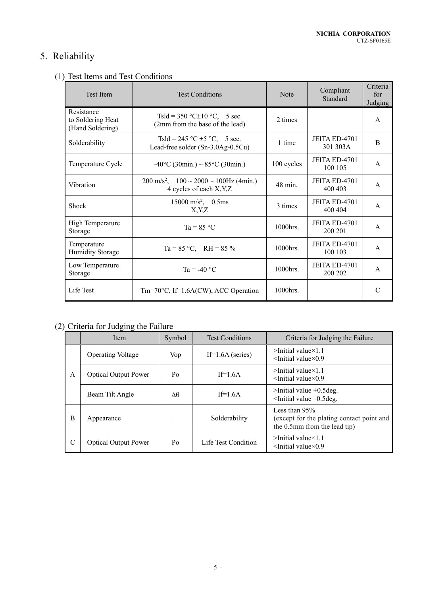# 5. Reliability

# (1) Test Items and Test Conditions

| <b>Test Item</b>                                    | <b>Test Conditions</b>                                                                        | <b>Note</b> | Compliant<br>Standard            | Criteria<br>for<br>Judging |
|-----------------------------------------------------|-----------------------------------------------------------------------------------------------|-------------|----------------------------------|----------------------------|
| Resistance<br>to Soldering Heat<br>(Hand Soldering) | Tsld = 350 °C $\pm$ 10 °C, 5 sec.<br>(2mm from the base of the lead)                          | 2 times     |                                  | $\mathsf{A}$               |
| Solderability                                       | Tsld = 245 °C $\pm$ 5 °C, 5 sec.<br>Lead-free solder (Sn-3.0Ag-0.5Cu)                         | 1 time      | <b>JEITA ED-4701</b><br>301 303A | B                          |
| Temperature Cycle                                   | $-40^{\circ}$ C (30min.) ~ 85 $^{\circ}$ C (30min.)                                           | 100 cycles  | JEITA ED-4701<br>100 105         | $\mathsf{A}$               |
| Vibration                                           | $200 \text{ m/s}^2$ , $100 \sim 2000 \sim 100 \text{ Hz (4min.)}$<br>4 cycles of each X, Y, Z | 48 min.     | JEITA ED-4701<br>400 403         | A                          |
| <b>Shock</b>                                        | $15000 \text{ m/s}^2$ , 0.5ms<br>X,Y,Z                                                        | 3 times     | <b>JEITA ED-4701</b><br>400 404  | $\mathsf{A}$               |
| High Temperature<br>Storage                         | $Ta = 85 °C$                                                                                  | 1000hrs.    | JEITA ED-4701<br>200 201         | $\mathsf{A}$               |
| Temperature<br><b>Humidity Storage</b>              | Ta = $85^{\circ}$ C, RH = $85\%$                                                              |             | <b>JEITA ED-4701</b><br>100 103  | $\mathsf{A}$               |
| Low Temperature<br>Storage                          | Ta = $-40$ °C                                                                                 | 1000hrs.    | JEITA ED-4701<br>200 202         | $\mathsf{A}$               |
| Life Test                                           | $Tm=70^{\circ}C$ , If=1.6A(CW), ACC Operation                                                 | $1000$ hrs. |                                  | $\mathcal{C}$              |

# (2) Criteria for Judging the Failure

|   | Item                        | Symbol | <b>Test Conditions</b> | Criteria for Judging the Failure                                                           |
|---|-----------------------------|--------|------------------------|--------------------------------------------------------------------------------------------|
| A | <b>Operating Voltage</b>    | Vop    | If= $1.6A$ (series)    | $>$ Initial value $\times$ 1.1<br>$\le$ Initial value $\times$ 0.9                         |
|   | <b>Optical Output Power</b> | Po     | $If=1.6A$              | $>$ Initial value $\times$ 1.1<br>$\le$ Initial value $\times$ 0.9                         |
|   | Beam Tilt Angle             | Aθ     | $If=1.6A$              | $\ge$ Initial value +0.5 deg.<br>$\le$ Initial value $-0.5$ deg.                           |
| B | Appearance                  |        | Solderability          | Less than 95%<br>(except for the plating contact point and<br>the 0.5mm from the lead tip) |
|   | <b>Optical Output Power</b> | Po     | Life Test Condition    | $>$ Initial value $\times$ 1.1<br>$\le$ Initial value $\times$ 0.9                         |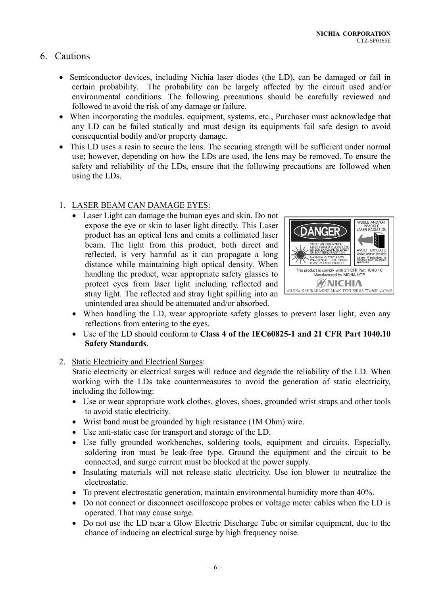# 6. Cautions

- Semiconductor devices, including Nichia laser diodes (the LD), can be damaged or fail in certain probability. The probability can be largely affected by the circuit used and/or environmental conditions. The following precautions should be carefully reviewed and followed to avoid the risk of any damage or failure.
- When incorporating the modules, equipment, systems, etc., Purchaser must acknowledge that any LD can be failed statically and must design its equipments fail safe design to avoid consequential bodily and/or property damage.
- This LD uses a resin to secure the lens. The securing strength will be sufficient under normal use; however, depending on how the LDs are used, the lens may be removed. To ensure the safety and reliability of the LDs, ensure that the following precautions are followed when using the LDs.

### 1. LASER BEAM CAN DAMAGE EYES:

 Laser Light can damage the human eyes and skin. Do not expose the eye or skin to laser light directly. This Laser product has an optical lens and emits a collimated laser beam. The light from this product, both direct and reflected, is very harmful as it can propagate a long distance while maintaining high optical density. When handling the product, wear appropriate safety glasses to protect eyes from laser light including reflected and stray light. The reflected and stray light spilling into an unintended area should be attenuated and/or absorbed.



- When handling the LD, wear appropriate safety glasses to prevent laser light, even any reflections from entering to the eyes.
- Use of the LD should conform to **Class 4 of the IEC60825-1 and 21 CFR Part 1040.10 Safety Standards**.
- 2. Static Electricity and Electrical Surges:

Static electricity or electrical surges will reduce and degrade the reliability of the LD. When working with the LDs take countermeasures to avoid the generation of static electricity, including the following:

- Use or wear appropriate work clothes, gloves, shoes, grounded wrist straps and other tools to avoid static electricity.
- Wrist band must be grounded by high resistance (1M Ohm) wire.
- Use anti-static case for transport and storage of the LD.
- Use fully grounded workbenches, soldering tools, equipment and circuits. Especially, soldering iron must be leak-free type. Ground the equipment and the circuit to be connected, and surge current must be blocked at the power supply.
- Insulating materials will not release static electricity. Use ion blower to neutralize the electrostatic.
- To prevent electrostatic generation, maintain environmental humidity more than 40%.
- Do not connect or disconnect oscilloscope probes or voltage meter cables when the LD is operated. That may cause surge.
- Do not use the LD near a Glow Electric Discharge Tube or similar equipment, due to the chance of inducing an electrical surge by high frequency noise.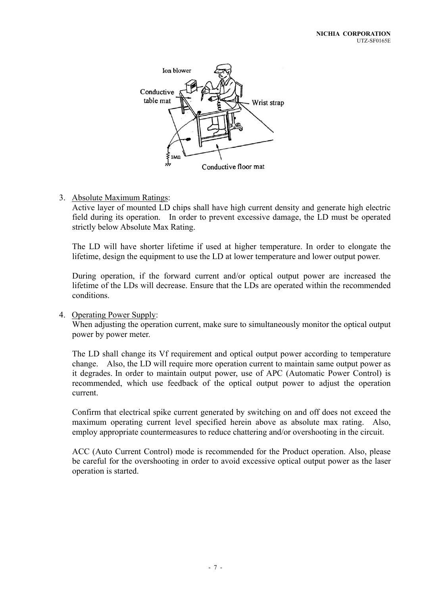

#### 3. Absolute Maximum Ratings:

Active layer of mounted LD chips shall have high current density and generate high electric field during its operation. In order to prevent excessive damage, the LD must be operated strictly below Absolute Max Rating.

The LD will have shorter lifetime if used at higher temperature. In order to elongate the lifetime, design the equipment to use the LD at lower temperature and lower output power.

During operation, if the forward current and/or optical output power are increased the lifetime of the LDs will decrease. Ensure that the LDs are operated within the recommended conditions.

#### 4. Operating Power Supply:

When adjusting the operation current, make sure to simultaneously monitor the optical output power by power meter.

The LD shall change its Vf requirement and optical output power according to temperature change. Also, the LD will require more operation current to maintain same output power as it degrades. In order to maintain output power, use of APC (Automatic Power Control) is recommended, which use feedback of the optical output power to adjust the operation current.

Confirm that electrical spike current generated by switching on and off does not exceed the maximum operating current level specified herein above as absolute max rating. Also, employ appropriate countermeasures to reduce chattering and/or overshooting in the circuit.

ACC (Auto Current Control) mode is recommended for the Product operation. Also, please be careful for the overshooting in order to avoid excessive optical output power as the laser operation is started.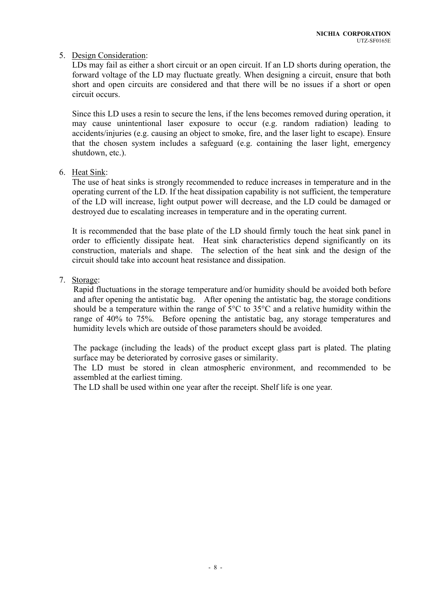#### 5. Design Consideration:

LDs may fail as either a short circuit or an open circuit. If an LD shorts during operation, the forward voltage of the LD may fluctuate greatly. When designing a circuit, ensure that both short and open circuits are considered and that there will be no issues if a short or open circuit occurs.

Since this LD uses a resin to secure the lens, if the lens becomes removed during operation, it may cause unintentional laser exposure to occur (e.g. random radiation) leading to accidents/injuries (e.g. causing an object to smoke, fire, and the laser light to escape). Ensure that the chosen system includes a safeguard (e.g. containing the laser light, emergency shutdown, etc.).

#### 6. Heat Sink:

The use of heat sinks is strongly recommended to reduce increases in temperature and in the operating current of the LD. If the heat dissipation capability is not sufficient, the temperature of the LD will increase, light output power will decrease, and the LD could be damaged or destroyed due to escalating increases in temperature and in the operating current.

It is recommended that the base plate of the LD should firmly touch the heat sink panel in order to efficiently dissipate heat. Heat sink characteristics depend significantly on its construction, materials and shape. The selection of the heat sink and the design of the circuit should take into account heat resistance and dissipation.

7. Storage:

Rapid fluctuations in the storage temperature and/or humidity should be avoided both before and after opening the antistatic bag. After opening the antistatic bag, the storage conditions should be a temperature within the range of 5°C to 35°C and a relative humidity within the range of 40% to 75%. Before opening the antistatic bag, any storage temperatures and humidity levels which are outside of those parameters should be avoided.

The package (including the leads) of the product except glass part is plated. The plating surface may be deteriorated by corrosive gases or similarity.

The LD must be stored in clean atmospheric environment, and recommended to be assembled at the earliest timing.

The LD shall be used within one year after the receipt. Shelf life is one year.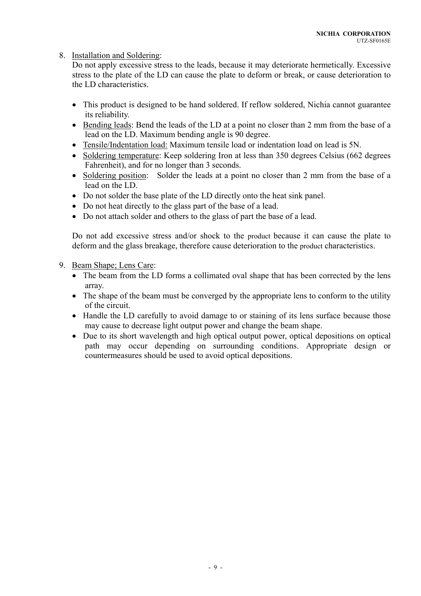8. Installation and Soldering:

Do not apply excessive stress to the leads, because it may deteriorate hermetically. Excessive stress to the plate of the LD can cause the plate to deform or break, or cause deterioration to the LD characteristics.

- This product is designed to be hand soldered. If reflow soldered, Nichia cannot guarantee its reliability.
- Bending leads: Bend the leads of the LD at a point no closer than 2 mm from the base of a lead on the LD. Maximum bending angle is 90 degree.
- Tensile/Indentation load: Maximum tensile load or indentation load on lead is 5N.
- Soldering temperature: Keep soldering Iron at less than 350 degrees Celsius (662 degrees Fahrenheit), and for no longer than 3 seconds.
- Soldering position: Solder the leads at a point no closer than 2 mm from the base of a lead on the LD.
- Do not solder the base plate of the LD directly onto the heat sink panel.
- Do not heat directly to the glass part of the base of a lead.
- Do not attach solder and others to the glass of part the base of a lead.

Do not add excessive stress and/or shock to the product because it can cause the plate to deform and the glass breakage, therefore cause deterioration to the product characteristics.

- 9. Beam Shape; Lens Care:
	- The beam from the LD forms a collimated oval shape that has been corrected by the lens array.
	- The shape of the beam must be converged by the appropriate lens to conform to the utility of the circuit.
	- Handle the LD carefully to avoid damage to or staining of its lens surface because those may cause to decrease light output power and change the beam shape.
	- Due to its short wavelength and high optical output power, optical depositions on optical path may occur depending on surrounding conditions. Appropriate design or countermeasures should be used to avoid optical depositions.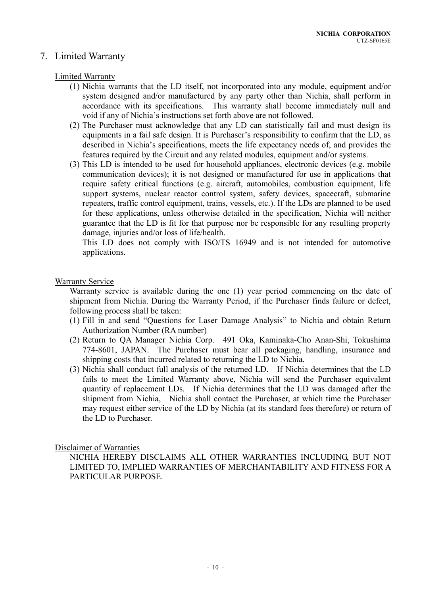## 7. Limited Warranty

#### Limited Warranty

- (1) Nichia warrants that the LD itself, not incorporated into any module, equipment and/or system designed and/or manufactured by any party other than Nichia, shall perform in accordance with its specifications. This warranty shall become immediately null and void if any of Nichia's instructions set forth above are not followed.
- (2) The Purchaser must acknowledge that any LD can statistically fail and must design its equipments in a fail safe design. It is Purchaser's responsibility to confirm that the LD, as described in Nichia's specifications, meets the life expectancy needs of, and provides the features required by the Circuit and any related modules, equipment and/or systems.
- (3) This LD is intended to be used for household appliances, electronic devices (e.g. mobile communication devices); it is not designed or manufactured for use in applications that require safety critical functions (e.g. aircraft, automobiles, combustion equipment, life support systems, nuclear reactor control system, safety devices, spacecraft, submarine repeaters, traffic control equipment, trains, vessels, etc.). If the LDs are planned to be used for these applications, unless otherwise detailed in the specification, Nichia will neither guarantee that the LD is fit for that purpose nor be responsible for any resulting property damage, injuries and/or loss of life/health.

This LD does not comply with ISO/TS 16949 and is not intended for automotive applications.

#### Warranty Service

Warranty service is available during the one (1) year period commencing on the date of shipment from Nichia. During the Warranty Period, if the Purchaser finds failure or defect, following process shall be taken:

- (1) Fill in and send "Questions for Laser Damage Analysis" to Nichia and obtain Return Authorization Number (RA number)
- (2) Return to QA Manager Nichia Corp. 491 Oka, Kaminaka-Cho Anan-Shi, Tokushima 774-8601, JAPAN. The Purchaser must bear all packaging, handling, insurance and shipping costs that incurred related to returning the LD to Nichia.
- (3) Nichia shall conduct full analysis of the returned LD. If Nichia determines that the LD fails to meet the Limited Warranty above, Nichia will send the Purchaser equivalent quantity of replacement LDs. If Nichia determines that the LD was damaged after the shipment from Nichia, Nichia shall contact the Purchaser, at which time the Purchaser may request either service of the LD by Nichia (at its standard fees therefore) or return of the LD to Purchaser.

Disclaimer of Warranties

NICHIA HEREBY DISCLAIMS ALL OTHER WARRANTIES INCLUDING, BUT NOT LIMITED TO, IMPLIED WARRANTIES OF MERCHANTABILITY AND FITNESS FOR A PARTICULAR PURPOSE.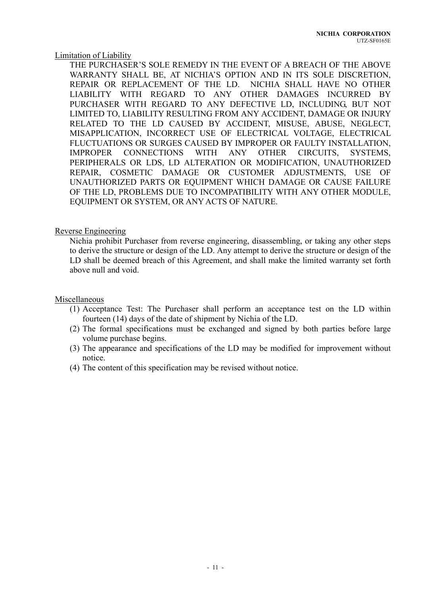#### Limitation of Liability

THE PURCHASER'S SOLE REMEDY IN THE EVENT OF A BREACH OF THE ABOVE WARRANTY SHALL BE, AT NICHIA'S OPTION AND IN ITS SOLE DISCRETION, REPAIR OR REPLACEMENT OF THE LD. NICHIA SHALL HAVE NO OTHER LIABILITY WITH REGARD TO ANY OTHER DAMAGES INCURRED BY PURCHASER WITH REGARD TO ANY DEFECTIVE LD, INCLUDING, BUT NOT LIMITED TO, LIABILITY RESULTING FROM ANY ACCIDENT, DAMAGE OR INJURY RELATED TO THE LD CAUSED BY ACCIDENT, MISUSE, ABUSE, NEGLECT, MISAPPLICATION, INCORRECT USE OF ELECTRICAL VOLTAGE, ELECTRICAL FLUCTUATIONS OR SURGES CAUSED BY IMPROPER OR FAULTY INSTALLATION, IMPROPER CONNECTIONS WITH ANY OTHER CIRCUITS, SYSTEMS, PERIPHERALS OR LDS, LD ALTERATION OR MODIFICATION, UNAUTHORIZED REPAIR, COSMETIC DAMAGE OR CUSTOMER ADJUSTMENTS, USE OF UNAUTHORIZED PARTS OR EQUIPMENT WHICH DAMAGE OR CAUSE FAILURE OF THE LD, PROBLEMS DUE TO INCOMPATIBILITY WITH ANY OTHER MODULE, EQUIPMENT OR SYSTEM, OR ANY ACTS OF NATURE.

#### Reverse Engineering

Nichia prohibit Purchaser from reverse engineering, disassembling, or taking any other steps to derive the structure or design of the LD. Any attempt to derive the structure or design of the LD shall be deemed breach of this Agreement, and shall make the limited warranty set forth above null and void.

#### Miscellaneous

- (1) Acceptance Test: The Purchaser shall perform an acceptance test on the LD within fourteen (14) days of the date of shipment by Nichia of the LD.
- (2) The formal specifications must be exchanged and signed by both parties before large volume purchase begins.
- (3) The appearance and specifications of the LD may be modified for improvement without notice.
- (4) The content of this specification may be revised without notice.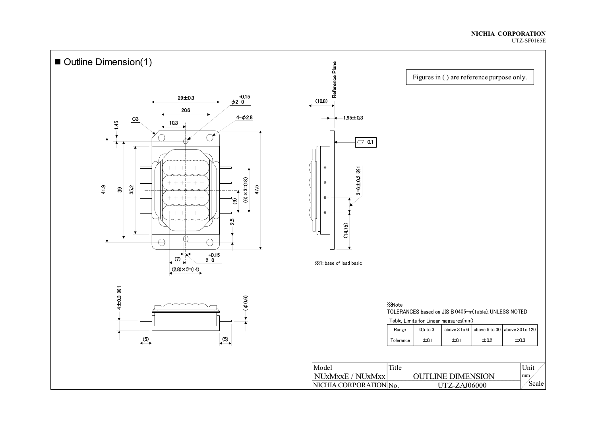#### **NICHIA CORPORATION**  UTZ-SF0165E

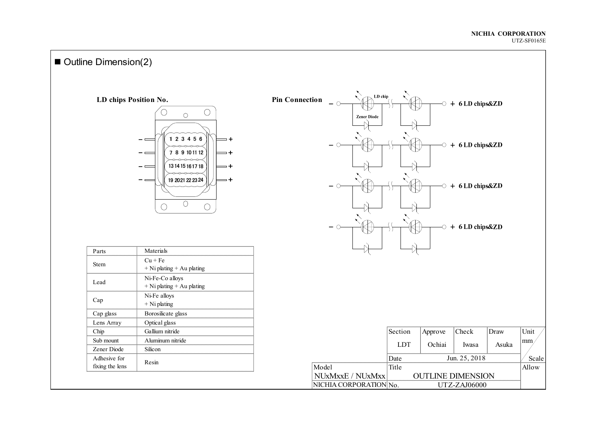#### **NICHIA CORPORATION**  UTZ-SF0165E